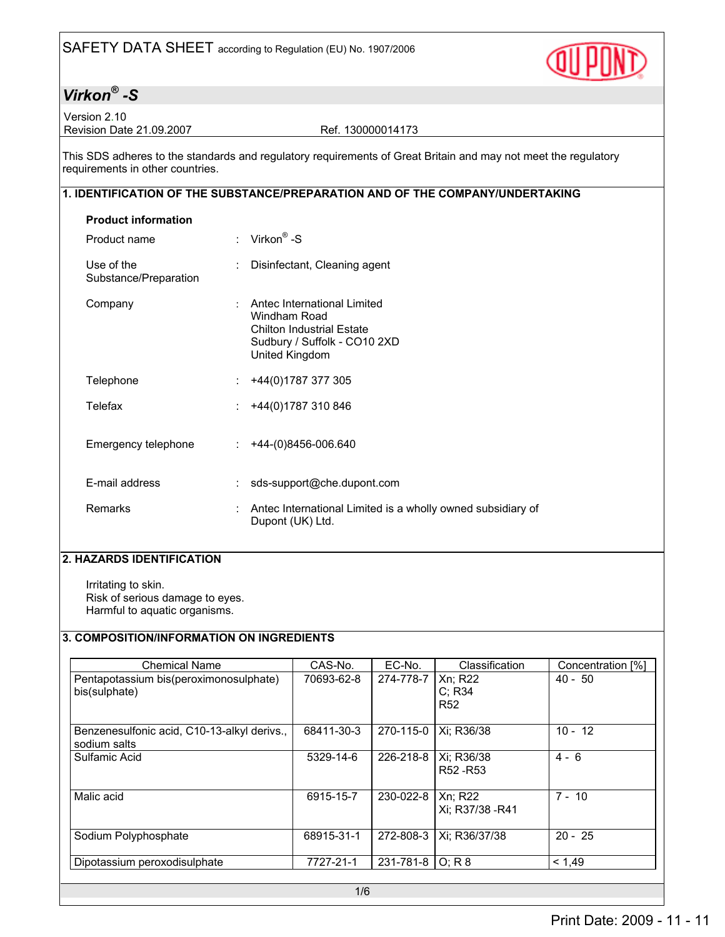

Version 2.10 Revision Date 21.09.2007 Ref. 130000014173

This SDS adheres to the standards and regulatory requirements of Great Britain and may not meet the regulatory requirements in other countries.

### 1. IDENTIFICATION OF THE SUBSTANCE/PREPARATION AND OF THE COMPANY/UNDERTAKING

| <b>Product information</b>          |   |                                                                                                                                   |
|-------------------------------------|---|-----------------------------------------------------------------------------------------------------------------------------------|
| Product name                        |   | : Virkon <sup>®</sup> -S                                                                                                          |
| Use of the<br>Substance/Preparation | ÷ | Disinfectant, Cleaning agent                                                                                                      |
| Company                             |   | Antec International Limited<br>Windham Road<br><b>Chilton Industrial Estate</b><br>Sudbury / Suffolk - CO10 2XD<br>United Kingdom |
| Telephone                           | ÷ | +44(0)1787 377 305                                                                                                                |
| Telefax                             |   | +44(0)1787 310 846                                                                                                                |
| Emergency telephone                 |   | +44-(0)8456-006.640                                                                                                               |
| E-mail address                      |   | sds-support@che.dupont.com                                                                                                        |
| Remarks                             |   | Antec International Limited is a wholly owned subsidiary of<br>Dupont (UK) Ltd.                                                   |

#### 2. HAZARDS IDENTIFICATION

Irritating to skin. Risk of serious damage to eyes. Harmful to aquatic organisms.

### 3. COMPOSITION/INFORMATION ON INGREDIENTS

| <b>Chemical Name</b>                                        | CAS-No.    | EC-No.    | Classification                  | Concentration [%] |
|-------------------------------------------------------------|------------|-----------|---------------------------------|-------------------|
| Pentapotassium bis(peroximonosulphate)<br>bis(sulphate)     | 70693-62-8 | 274-778-7 | Xn; R22<br>C: R34<br><b>R52</b> | $40 - 50$         |
| Benzenesulfonic acid, C10-13-alkyl derivs.,<br>sodium salts | 68411-30-3 | 270-115-0 | Xi; R36/38                      | $10 - 12$         |
| Sulfamic Acid                                               | 5329-14-6  | 226-218-8 | Xi; R36/38<br>R52 - R53         | $4 - 6$           |
| Malic acid                                                  | 6915-15-7  | 230-022-8 | Xn: R22<br>Xi; R37/38 - R41     | $7 - 10$          |
| Sodium Polyphosphate                                        | 68915-31-1 | 272-808-3 | Xi; R36/37/38                   | $20 - 25$         |
| Dipotassium peroxodisulphate                                | 7727-21-1  | 231-781-8 | O: R 8                          | < 1.49            |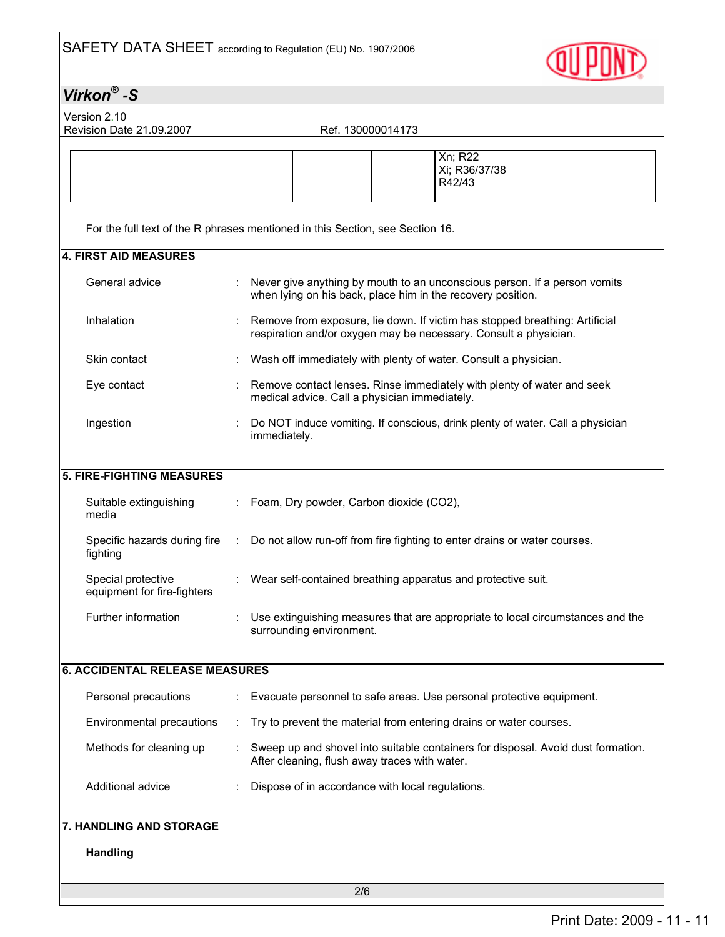

Version 2.10 Revision Date 21.09.2007 Ref. 130000014173

| For the full text of the R phrases mentioned in this Section, see Section 16.<br><b>4. FIRST AID MEASURES</b><br>General advice<br>Never give anything by mouth to an unconscious person. If a person vomits<br>when lying on his back, place him in the recovery position.<br>Inhalation<br>Remove from exposure, lie down. If victim has stopped breathing: Artificial<br>respiration and/or oxygen may be necessary. Consult a physician.<br>Skin contact<br>Wash off immediately with plenty of water. Consult a physician.<br>Remove contact lenses. Rinse immediately with plenty of water and seek<br>Eye contact<br>medical advice. Call a physician immediately.<br>Ingestion<br>Do NOT induce vomiting. If conscious, drink plenty of water. Call a physician<br>immediately.<br>Suitable extinguishing<br>Foam, Dry powder, Carbon dioxide (CO2),<br>media<br>Specific hazards during fire<br>Do not allow run-off from fire fighting to enter drains or water courses.<br>÷<br>fighting<br>Special protective<br>Wear self-contained breathing apparatus and protective suit.<br>equipment for fire-fighters<br>Further information<br>Use extinguishing measures that are appropriate to local circumstances and the<br>surrounding environment.<br><b>6. ACCIDENTAL RELEASE MEASURES</b><br>Personal precautions<br>Evacuate personnel to safe areas. Use personal protective equipment.<br>Environmental precautions<br>Try to prevent the material from entering drains or water courses.<br>÷<br>Methods for cleaning up<br>Sweep up and shovel into suitable containers for disposal. Avoid dust formation.<br>After cleaning, flush away traces with water.<br>Additional advice<br>Dispose of in accordance with local regulations. |                           |  | Xn; R22<br>Xi; R36/37/38<br>R42/43 |
|---------------------------------------------------------------------------------------------------------------------------------------------------------------------------------------------------------------------------------------------------------------------------------------------------------------------------------------------------------------------------------------------------------------------------------------------------------------------------------------------------------------------------------------------------------------------------------------------------------------------------------------------------------------------------------------------------------------------------------------------------------------------------------------------------------------------------------------------------------------------------------------------------------------------------------------------------------------------------------------------------------------------------------------------------------------------------------------------------------------------------------------------------------------------------------------------------------------------------------------------------------------------------------------------------------------------------------------------------------------------------------------------------------------------------------------------------------------------------------------------------------------------------------------------------------------------------------------------------------------------------------------------------------------------------------------------------------------------------------------------------------|---------------------------|--|------------------------------------|
|                                                                                                                                                                                                                                                                                                                                                                                                                                                                                                                                                                                                                                                                                                                                                                                                                                                                                                                                                                                                                                                                                                                                                                                                                                                                                                                                                                                                                                                                                                                                                                                                                                                                                                                                                         |                           |  |                                    |
|                                                                                                                                                                                                                                                                                                                                                                                                                                                                                                                                                                                                                                                                                                                                                                                                                                                                                                                                                                                                                                                                                                                                                                                                                                                                                                                                                                                                                                                                                                                                                                                                                                                                                                                                                         |                           |  |                                    |
|                                                                                                                                                                                                                                                                                                                                                                                                                                                                                                                                                                                                                                                                                                                                                                                                                                                                                                                                                                                                                                                                                                                                                                                                                                                                                                                                                                                                                                                                                                                                                                                                                                                                                                                                                         |                           |  |                                    |
|                                                                                                                                                                                                                                                                                                                                                                                                                                                                                                                                                                                                                                                                                                                                                                                                                                                                                                                                                                                                                                                                                                                                                                                                                                                                                                                                                                                                                                                                                                                                                                                                                                                                                                                                                         |                           |  |                                    |
|                                                                                                                                                                                                                                                                                                                                                                                                                                                                                                                                                                                                                                                                                                                                                                                                                                                                                                                                                                                                                                                                                                                                                                                                                                                                                                                                                                                                                                                                                                                                                                                                                                                                                                                                                         |                           |  |                                    |
|                                                                                                                                                                                                                                                                                                                                                                                                                                                                                                                                                                                                                                                                                                                                                                                                                                                                                                                                                                                                                                                                                                                                                                                                                                                                                                                                                                                                                                                                                                                                                                                                                                                                                                                                                         |                           |  |                                    |
|                                                                                                                                                                                                                                                                                                                                                                                                                                                                                                                                                                                                                                                                                                                                                                                                                                                                                                                                                                                                                                                                                                                                                                                                                                                                                                                                                                                                                                                                                                                                                                                                                                                                                                                                                         |                           |  |                                    |
|                                                                                                                                                                                                                                                                                                                                                                                                                                                                                                                                                                                                                                                                                                                                                                                                                                                                                                                                                                                                                                                                                                                                                                                                                                                                                                                                                                                                                                                                                                                                                                                                                                                                                                                                                         | 5. FIRE-FIGHTING MEASURES |  |                                    |
|                                                                                                                                                                                                                                                                                                                                                                                                                                                                                                                                                                                                                                                                                                                                                                                                                                                                                                                                                                                                                                                                                                                                                                                                                                                                                                                                                                                                                                                                                                                                                                                                                                                                                                                                                         |                           |  |                                    |
|                                                                                                                                                                                                                                                                                                                                                                                                                                                                                                                                                                                                                                                                                                                                                                                                                                                                                                                                                                                                                                                                                                                                                                                                                                                                                                                                                                                                                                                                                                                                                                                                                                                                                                                                                         |                           |  |                                    |
|                                                                                                                                                                                                                                                                                                                                                                                                                                                                                                                                                                                                                                                                                                                                                                                                                                                                                                                                                                                                                                                                                                                                                                                                                                                                                                                                                                                                                                                                                                                                                                                                                                                                                                                                                         |                           |  |                                    |
|                                                                                                                                                                                                                                                                                                                                                                                                                                                                                                                                                                                                                                                                                                                                                                                                                                                                                                                                                                                                                                                                                                                                                                                                                                                                                                                                                                                                                                                                                                                                                                                                                                                                                                                                                         |                           |  |                                    |
|                                                                                                                                                                                                                                                                                                                                                                                                                                                                                                                                                                                                                                                                                                                                                                                                                                                                                                                                                                                                                                                                                                                                                                                                                                                                                                                                                                                                                                                                                                                                                                                                                                                                                                                                                         |                           |  |                                    |
|                                                                                                                                                                                                                                                                                                                                                                                                                                                                                                                                                                                                                                                                                                                                                                                                                                                                                                                                                                                                                                                                                                                                                                                                                                                                                                                                                                                                                                                                                                                                                                                                                                                                                                                                                         |                           |  |                                    |
|                                                                                                                                                                                                                                                                                                                                                                                                                                                                                                                                                                                                                                                                                                                                                                                                                                                                                                                                                                                                                                                                                                                                                                                                                                                                                                                                                                                                                                                                                                                                                                                                                                                                                                                                                         |                           |  |                                    |
|                                                                                                                                                                                                                                                                                                                                                                                                                                                                                                                                                                                                                                                                                                                                                                                                                                                                                                                                                                                                                                                                                                                                                                                                                                                                                                                                                                                                                                                                                                                                                                                                                                                                                                                                                         |                           |  |                                    |
|                                                                                                                                                                                                                                                                                                                                                                                                                                                                                                                                                                                                                                                                                                                                                                                                                                                                                                                                                                                                                                                                                                                                                                                                                                                                                                                                                                                                                                                                                                                                                                                                                                                                                                                                                         |                           |  |                                    |
|                                                                                                                                                                                                                                                                                                                                                                                                                                                                                                                                                                                                                                                                                                                                                                                                                                                                                                                                                                                                                                                                                                                                                                                                                                                                                                                                                                                                                                                                                                                                                                                                                                                                                                                                                         | 7. HANDLING AND STORAGE   |  |                                    |
|                                                                                                                                                                                                                                                                                                                                                                                                                                                                                                                                                                                                                                                                                                                                                                                                                                                                                                                                                                                                                                                                                                                                                                                                                                                                                                                                                                                                                                                                                                                                                                                                                                                                                                                                                         | <b>Handling</b>           |  |                                    |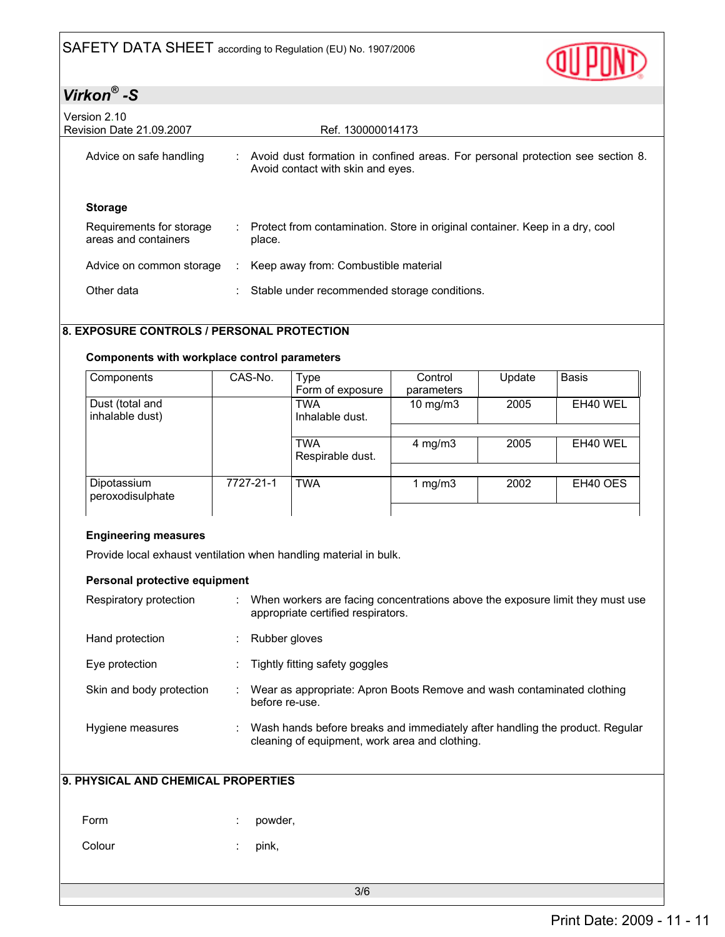

| Version 2.10<br><b>Revision Date 21.09.2007</b>  |   | Ref. 130000014173                                                                                                   |
|--------------------------------------------------|---|---------------------------------------------------------------------------------------------------------------------|
| Advice on safe handling                          |   | Avoid dust formation in confined areas. For personal protection see section 8.<br>Avoid contact with skin and eyes. |
| <b>Storage</b>                                   |   |                                                                                                                     |
| Requirements for storage<br>areas and containers |   | : Protect from contamination. Store in original container. Keep in a dry, cool<br>place.                            |
| Advice on common storage                         | ÷ | Keep away from: Combustible material                                                                                |
| Other data                                       |   | Stable under recommended storage conditions.                                                                        |

#### 8. EXPOSURE CONTROLS / PERSONAL PROTECTION

#### Components with workplace control parameters

| Components                         | CAS-No.   | <b>Type</b><br>Form of exposure | Control<br>parameters | Update | <b>Basis</b> |
|------------------------------------|-----------|---------------------------------|-----------------------|--------|--------------|
| Dust (total and<br>inhalable dust) |           | TWA<br>Inhalable dust.          | $10$ mg/m $3$         | 2005   | EH40 WEL     |
|                                    |           |                                 |                       |        |              |
|                                    |           | <b>TWA</b><br>Respirable dust.  | 4 mg/m $3$            | 2005   | EH40 WEL     |
|                                    |           |                                 |                       |        |              |
| Dipotassium<br>peroxodisulphate    | 7727-21-1 | <b>TWA</b>                      | 1 mg/m3               | 2002   | EH40 OES     |
|                                    |           |                                 |                       |        |              |

#### Engineering measures

Provide local exhaust ventilation when handling material in bulk.

#### Personal protective equipment

| Respiratory protection   | When workers are facing concentrations above the exposure limit they must use<br>appropriate certified respirators.            |
|--------------------------|--------------------------------------------------------------------------------------------------------------------------------|
| Hand protection          | Rubber gloves                                                                                                                  |
| Eye protection           | Tightly fitting safety goggles                                                                                                 |
| Skin and body protection | Wear as appropriate: Apron Boots Remove and wash contaminated clothing<br>before re-use.                                       |
| Hygiene measures         | Wash hands before breaks and immediately after handling the product. Regular<br>cleaning of equipment, work area and clothing. |

### 9. PHYSICAL AND CHEMICAL PROPERTIES

| Form   | : powder, |
|--------|-----------|
| Colour | $:$ pink, |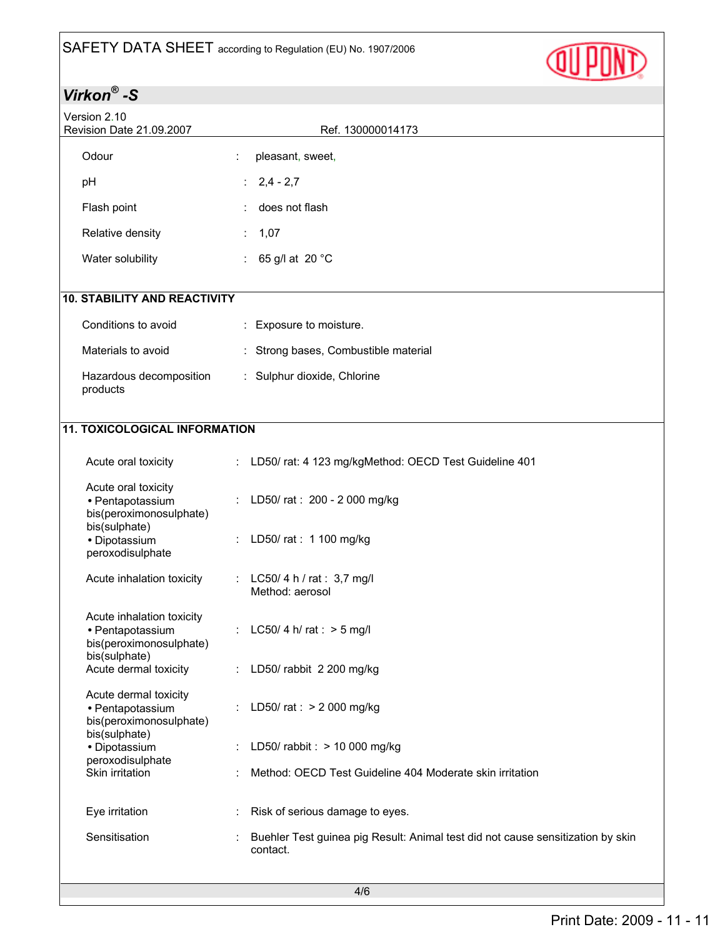

| Version 2.10<br>Revision Date 21.09.2007                                                  | Ref. 130000014173                                                                           |
|-------------------------------------------------------------------------------------------|---------------------------------------------------------------------------------------------|
| Odour                                                                                     | pleasant, sweet,                                                                            |
| pH                                                                                        | $: 2,4 - 2,7$                                                                               |
| Flash point                                                                               | does not flash                                                                              |
| Relative density                                                                          | 1,07<br>$\mathcal{L}^{\mathcal{L}}$                                                         |
| Water solubility                                                                          | : 65 g/l at 20 $^{\circ}$ C                                                                 |
| <b>10. STABILITY AND REACTIVITY</b>                                                       |                                                                                             |
| Conditions to avoid                                                                       | : Exposure to moisture.                                                                     |
| Materials to avoid                                                                        | : Strong bases, Combustible material                                                        |
| Hazardous decomposition<br>products                                                       | : Sulphur dioxide, Chlorine                                                                 |
| <b>11. TOXICOLOGICAL INFORMATION</b>                                                      |                                                                                             |
| Acute oral toxicity                                                                       | : LD50/rat: 4 123 mg/kgMethod: OECD Test Guideline 401                                      |
| Acute oral toxicity<br>· Pentapotassium<br>bis(peroximonosulphate)                        | : LD50/rat: 200 - 2000 mg/kg                                                                |
| bis(sulphate)<br>· Dipotassium<br>peroxodisulphate                                        | : LD50/rat: 1 100 mg/kg                                                                     |
| Acute inhalation toxicity                                                                 | : LC50/4 h / rat : 3,7 mg/l<br>Method: aerosol                                              |
| Acute inhalation toxicity<br>· Pentapotassium<br>bis(peroximonosulphate)<br>bis(sulphate) | : LC50/4 h/rat : $>$ 5 mg/l                                                                 |
| Acute dermal toxicity                                                                     | : LD50/ rabbit 2 200 mg/kg                                                                  |
| Acute dermal toxicity<br>• Pentapotassium<br>bis(peroximonosulphate)                      | : LD50/ $rat:$ > 2 000 mg/kg                                                                |
| bis(sulphate)<br>· Dipotassium                                                            | LD50/ rabbit : > 10 000 mg/kg                                                               |
| peroxodisulphate<br>Skin irritation                                                       | Method: OECD Test Guideline 404 Moderate skin irritation                                    |
| Eye irritation                                                                            | Risk of serious damage to eyes.                                                             |
| Sensitisation                                                                             | Buehler Test guinea pig Result: Animal test did not cause sensitization by skin<br>contact. |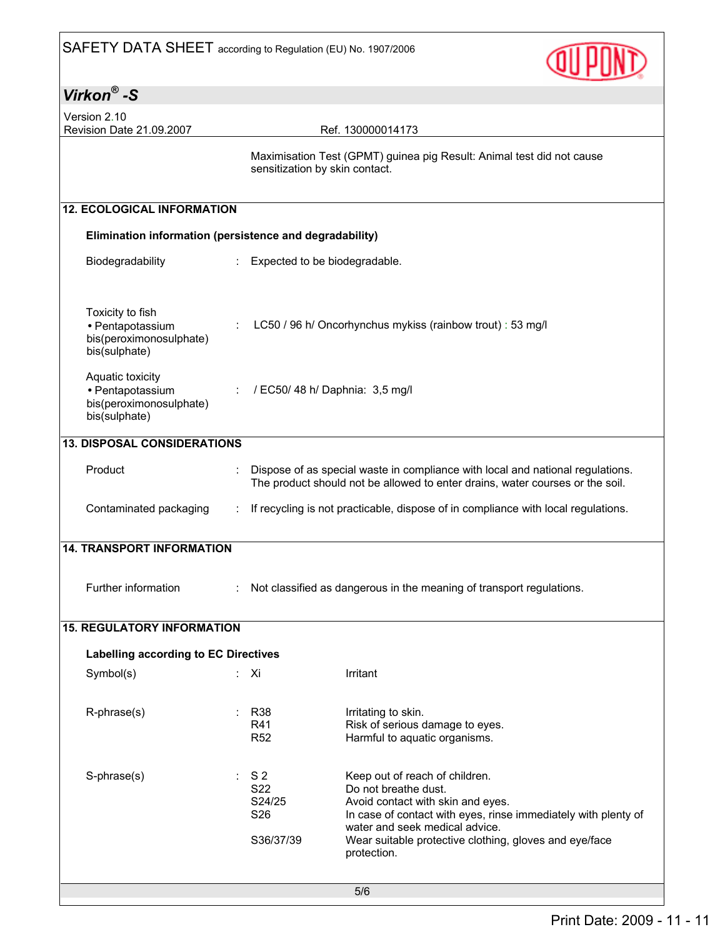

| Virkon $^{\circledR}$ -S                                                         |                                                     |                                                                                                                                                                                                                                                                          |  |  |
|----------------------------------------------------------------------------------|-----------------------------------------------------|--------------------------------------------------------------------------------------------------------------------------------------------------------------------------------------------------------------------------------------------------------------------------|--|--|
| Version 2.10<br>Revision Date 21.09.2007<br>Ref. 130000014173                    |                                                     |                                                                                                                                                                                                                                                                          |  |  |
|                                                                                  | sensitization by skin contact.                      | Maximisation Test (GPMT) guinea pig Result: Animal test did not cause                                                                                                                                                                                                    |  |  |
| <b>12. ECOLOGICAL INFORMATION</b>                                                |                                                     |                                                                                                                                                                                                                                                                          |  |  |
| Elimination information (persistence and degradability)                          |                                                     |                                                                                                                                                                                                                                                                          |  |  |
| Biodegradability<br>÷.                                                           | Expected to be biodegradable.                       |                                                                                                                                                                                                                                                                          |  |  |
| Toxicity to fish<br>· Pentapotassium<br>bis(peroximonosulphate)<br>bis(sulphate) |                                                     | LC50 / 96 h/ Oncorhynchus mykiss (rainbow trout) : 53 mg/l                                                                                                                                                                                                               |  |  |
| Aquatic toxicity<br>· Pentapotassium<br>bis(peroximonosulphate)<br>bis(sulphate) | / EC50/ 48 h/ Daphnia: 3,5 mg/l                     |                                                                                                                                                                                                                                                                          |  |  |
| <b>13. DISPOSAL CONSIDERATIONS</b>                                               |                                                     |                                                                                                                                                                                                                                                                          |  |  |
| Product                                                                          |                                                     | Dispose of as special waste in compliance with local and national regulations.<br>The product should not be allowed to enter drains, water courses or the soil.                                                                                                          |  |  |
| Contaminated packaging                                                           |                                                     | If recycling is not practicable, dispose of in compliance with local regulations.                                                                                                                                                                                        |  |  |
| <b>14. TRANSPORT INFORMATION</b>                                                 |                                                     |                                                                                                                                                                                                                                                                          |  |  |
| Further information                                                              |                                                     | Not classified as dangerous in the meaning of transport regulations.                                                                                                                                                                                                     |  |  |
| <b>15. REGULATORY INFORMATION</b>                                                |                                                     |                                                                                                                                                                                                                                                                          |  |  |
| Labelling according to EC Directives                                             |                                                     |                                                                                                                                                                                                                                                                          |  |  |
| Symbol(s)<br>t.                                                                  | Xi                                                  | Irritant                                                                                                                                                                                                                                                                 |  |  |
| R-phrase(s)                                                                      | R38<br>R41<br><b>R52</b>                            | Irritating to skin.<br>Risk of serious damage to eyes.<br>Harmful to aquatic organisms.                                                                                                                                                                                  |  |  |
| S-phrase(s)                                                                      | S <sub>2</sub><br>S22<br>S24/25<br>S26<br>S36/37/39 | Keep out of reach of children.<br>Do not breathe dust.<br>Avoid contact with skin and eyes.<br>In case of contact with eyes, rinse immediately with plenty of<br>water and seek medical advice.<br>Wear suitable protective clothing, gloves and eye/face<br>protection. |  |  |
|                                                                                  |                                                     | 5/6                                                                                                                                                                                                                                                                      |  |  |